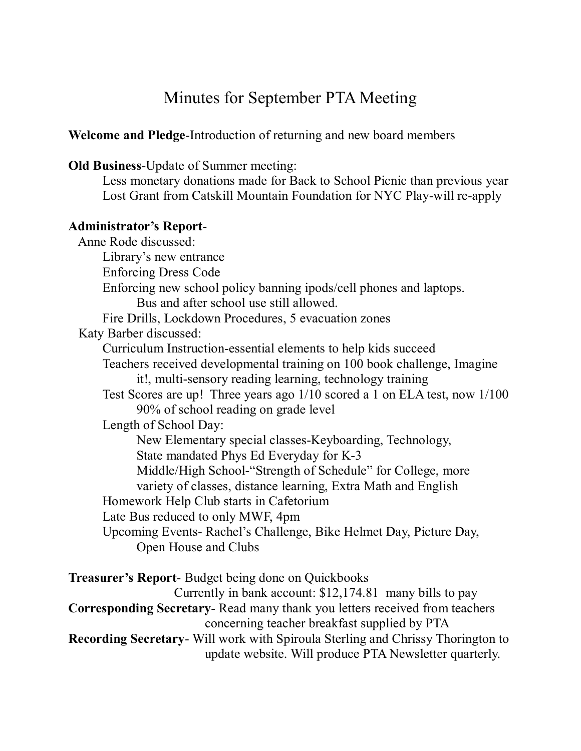# Minutes for September PTA Meeting

**Welcome and Pledge-Introduction of returning and new board members** 

**Old Business-Update of Summer meeting:** 

Less monetary donations made for Back to School Picnic than previous year Lost Grant from Catskill Mountain Foundation for NYC Play-will re-apply

#### **Administrator's Report**

Anne Rode discussed: Library's new entrance Enforcing Dress Code Enforcing new school policy banning ipods/cell phones and laptops. Bus and after school use still allowed. Fire Drills, Lockdown Procedures, 5 evacuation zones Katy Barber discussed: Curriculum Instruction-essential elements to help kids succeed Teachers received developmental training on 100 book challenge, Imagine it!, multi-sensory reading learning, technology training Test Scores are up! Three years ago 1/10 scored a 1 on ELA test, now 1/100 90% of school reading on grade level Length of School Day: New Elementary special classes-Keyboarding, Technology, State mandated Phys Ed Everyday for K-3 Middle/High School-"Strength of Schedule" for College, more variety of classes, distance learning, Extra Math and English Homework Help Club starts in Cafetorium Late Bus reduced to only MWF, 4pm Upcoming Events- Rachel's Challenge, Bike Helmet Day, Picture Day, Open House and Clubs

**Treasurer's Report-** Budget being done on Quickbooks

Currently in bank account: \$12,174.81 many bills to pay

**Corresponding Secretary-Read many thank you letters received from teachers** concerning teacher breakfast supplied by PTA

**Recording Secretary-** Will work with Spiroula Sterling and Chrissy Thorington to update website. Will produce PTA Newsletter quarterly.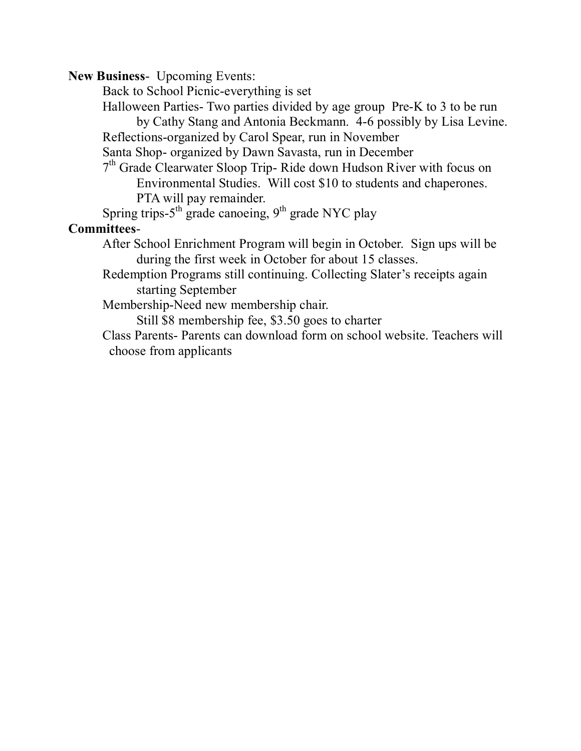**New Business-** Upcoming Events:

Back to School Picnic-everything is set

Halloween Parties Two parties divided by age group Pre-K to 3 to be run by Cathy Stang and Antonia Beckmann. 46 possibly by Lisa Levine.

Reflections-organized by Carol Spear, run in November

Santa Shop- organized by Dawn Savasta, run in December

 $7<sup>th</sup>$  Grade Clearwater Sloop Trip-Ride down Hudson River with focus on Environmental Studies. Will cost \$10 to students and chaperones. PTA will pay remainder.

Spring trips- $5<sup>th</sup>$  grade canoeing,  $9<sup>th</sup>$  grade NYC play

## **Committees**

After School Enrichment Program will begin in October. Sign ups will be during the first week in October for about 15 classes.

Redemption Programs still continuing. Collecting Slater's receipts again starting September

Membership-Need new membership chair.

Still \$8 membership fee, \$3.50 goes to charter

Class Parents- Parents can download form on school website. Teachers will choose from applicants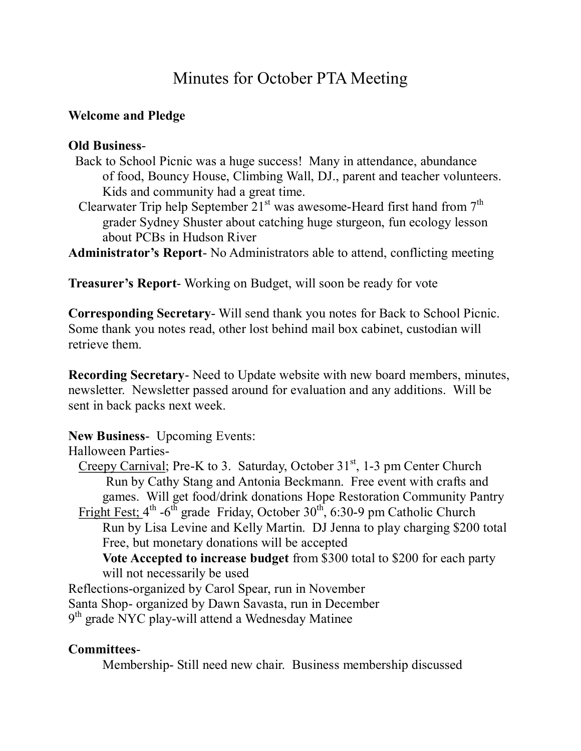# Minutes for October PTA Meeting

### **Welcome and Pledge**

#### **Old Business**

- Back to School Picnic was a huge success! Many in attendance, abundance of food, Bouncy House, Climbing Wall, DJ., parent and teacher volunteers. Kids and community had a great time.
- Clearwater Trip help September  $21<sup>st</sup>$  was awesome-Heard first hand from  $7<sup>th</sup>$ grader Sydney Shuster about catching huge sturgeon, fun ecology lesson about PCBs in Hudson River
- Administrator's Report-No Administrators able to attend, conflicting meeting

Treasurer's Report-Working on Budget, will soon be ready for vote

**Corresponding Secretary-** Will send thank you notes for Back to School Picnic. Some thank you notes read, other lost behind mail box cabinet, custodian will retrieve them.

**Recording Secretary** - Need to Update website with new board members, minutes, newsletter. Newsletter passed around for evaluation and any additions. Will be sent in back packs next week.

# **New Business-** Upcoming Events:

Halloween Parties

Creepy Carnival; Pre-K to 3. Saturday, October  $31<sup>st</sup>$ , 1-3 pm Center Church Run by Cathy Stang and Antonia Beckmann. Free event with crafts and games. Will get food/drink donations Hope Restoration Community Pantry Fright Fest;  $4^{th}$  -6<sup>th</sup> grade Friday, October 30<sup>th</sup>, 6:30-9 pm Catholic Church Run by Lisa Levine and Kelly Martin. DJ Jenna to play charging \$200 total Free, but monetary donations will be accepted **Vote Accepted to increase budget** from \$300 total to \$200 for each party will not necessarily be used

Reflections-organized by Carol Spear, run in November

Santa Shop- organized by Dawn Savasta, run in December

 $9<sup>th</sup>$  grade NYC play-will attend a Wednesday Matinee

# **Committees**

Membership Still need new chair. Business membership discussed